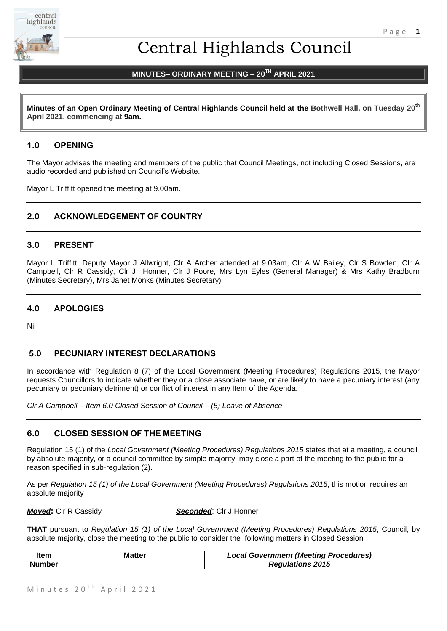

# Central Highlands Council

# **MINUTES– ORDINARY MEETING – 20TH APRIL 2021**

**Minutes of an Open Ordinary Meeting of Central Highlands Council held at the Bothwell Hall, on Tuesday 20th April 2021, commencing at 9am.**

# **1.0 OPENING**

The Mayor advises the meeting and members of the public that Council Meetings, not including Closed Sessions, are audio recorded and published on Council's Website.

Mayor L Triffitt opened the meeting at 9.00am.

# **2.0 ACKNOWLEDGEMENT OF COUNTRY**

### **3.0 PRESENT**

Mayor L Triffitt, Deputy Mayor J Allwright, Clr A Archer attended at 9.03am, Clr A W Bailey, Clr S Bowden, Clr A Campbell, Clr R Cassidy, Clr J Honner, Clr J Poore, Mrs Lyn Eyles (General Manager) & Mrs Kathy Bradburn (Minutes Secretary), Mrs Janet Monks (Minutes Secretary)

# **4.0 APOLOGIES**

Nil

### **5.0 PECUNIARY INTEREST DECLARATIONS**

In accordance with Regulation 8 (7) of the Local Government (Meeting Procedures) Regulations 2015, the Mayor requests Councillors to indicate whether they or a close associate have, or are likely to have a pecuniary interest (any pecuniary or pecuniary detriment) or conflict of interest in any Item of the Agenda.

*Clr A Campbell – Item 6.0 Closed Session of Council – (5) Leave of Absence*

# **6.0 CLOSED SESSION OF THE MEETING**

Regulation 15 (1) of the *Local Government (Meeting Procedures) Regulations 2015* states that at a meeting, a council by absolute majority, or a council committee by simple majority, may close a part of the meeting to the public for a reason specified in sub-regulation (2).

As per *Regulation 15 (1) of the Local Government (Meeting Procedures) Regulations 2015*, this motion requires an absolute majority

*Moved***:** Clr R Cassidy *Seconded*: Clr J Honner

**THAT** pursuant to *Regulation 15 (1) of the Local Government (Meeting Procedures) Regulations 2015*, Council, by absolute majority, close the meeting to the public to consider the following matters in Closed Session

| Item          | Matter | <b>Local Government (Meeting Procedures)</b> |
|---------------|--------|----------------------------------------------|
| <b>Number</b> |        | <b>Regulations 2015</b>                      |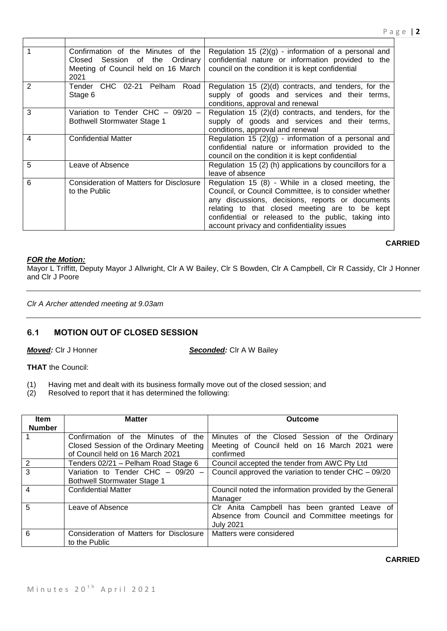|   | Confirmation of the Minutes of the<br>Closed Session of the Ordinary<br>Meeting of Council held on 16 March<br>2021 | Regulation 15 $(2)(g)$ - information of a personal and<br>confidential nature or information provided to the<br>council on the condition it is kept confidential                                                                                                                                                       |
|---|---------------------------------------------------------------------------------------------------------------------|------------------------------------------------------------------------------------------------------------------------------------------------------------------------------------------------------------------------------------------------------------------------------------------------------------------------|
| 2 | Tender CHC 02-21 Pelham Road<br>Stage 6                                                                             | Regulation 15 (2)(d) contracts, and tenders, for the<br>supply of goods and services and their terms,<br>conditions, approval and renewal                                                                                                                                                                              |
| 3 | Variation to Tender CHC $-$ 09/20 $-$<br><b>Bothwell Stormwater Stage 1</b>                                         | Regulation 15 (2)(d) contracts, and tenders, for the<br>supply of goods and services and their terms,<br>conditions, approval and renewal                                                                                                                                                                              |
| 4 | <b>Confidential Matter</b>                                                                                          | Regulation 15 $(2)(g)$ - information of a personal and<br>confidential nature or information provided to the<br>council on the condition it is kept confidential                                                                                                                                                       |
| 5 | Leave of Absence                                                                                                    | Regulation 15 (2) (h) applications by councillors for a<br>leave of absence                                                                                                                                                                                                                                            |
| 6 | <b>Consideration of Matters for Disclosure</b><br>to the Public                                                     | Regulation 15 (8) - While in a closed meeting, the<br>Council, or Council Committee, is to consider whether<br>any discussions, decisions, reports or documents<br>relating to that closed meeting are to be kept<br>confidential or released to the public, taking into<br>account privacy and confidentiality issues |

# **CARRIED**

# *FOR the Motion:*

Mayor L Triffitt, Deputy Mayor J Allwright, Clr A W Bailey, Clr S Bowden, Clr A Campbell, Clr R Cassidy, Clr J Honner and Clr J Poore

# *Clr A Archer attended meeting at 9.03am*

# **6.1 MOTION OUT OF CLOSED SESSION**

*Moved:* Clr J Honner *Seconded:* Clr A W Bailey

**THAT** the Council:

- (1) Having met and dealt with its business formally move out of the closed session; and (2) Resolved to report that it has determined the following:
- Resolved to report that it has determined the following:

| <b>Item</b><br><b>Number</b> | <b>Matter</b>                                                                                                    | Outcome                                                                                                             |
|------------------------------|------------------------------------------------------------------------------------------------------------------|---------------------------------------------------------------------------------------------------------------------|
|                              | Confirmation of the Minutes of the<br>Closed Session of the Ordinary Meeting<br>of Council held on 16 March 2021 | Minutes of the Closed Session of the Ordinary<br>Meeting of Council held on 16 March 2021 were<br>confirmed         |
| 2                            | Tenders 02/21 - Pelham Road Stage 6                                                                              | Council accepted the tender from AWC Pty Ltd                                                                        |
| $\overline{3}$               | Variation to Tender CHC $-$ 09/20 $-$<br><b>Bothwell Stormwater Stage 1</b>                                      | Council approved the variation to tender CHC - 09/20                                                                |
| $\overline{4}$               | <b>Confidential Matter</b>                                                                                       | Council noted the information provided by the General<br>Manager                                                    |
| 5                            | Leave of Absence                                                                                                 | CIr Anita Campbell has been granted Leave of<br>Absence from Council and Committee meetings for<br><b>July 2021</b> |
| 6                            | Consideration of Matters for Disclosure<br>to the Public                                                         | Matters were considered                                                                                             |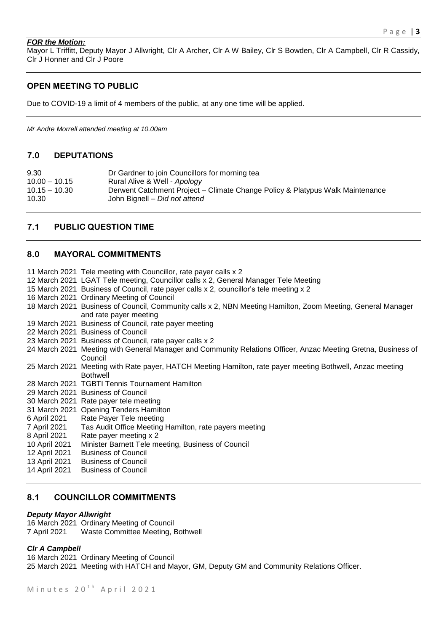#### *FOR the Motion:*

Mayor L Triffitt, Deputy Mayor J Allwright, Clr A Archer, Clr A W Bailey, Clr S Bowden, Clr A Campbell, Clr R Cassidy, Clr J Honner and Clr J Poore

# **OPEN MEETING TO PUBLIC**

Due to COVID-19 a limit of 4 members of the public, at any one time will be applied.

*Mr Andre Morrell attended meeting at 10.00am* 

#### **7.0 DEPUTATIONS**

| 9.30            | Dr Gardner to join Councillors for morning tea                                |
|-----------------|-------------------------------------------------------------------------------|
| $10.00 - 10.15$ | Rural Alive & Well - Apology                                                  |
| $10.15 - 10.30$ | Derwent Catchment Project – Climate Change Policy & Platypus Walk Maintenance |
| 10.30           | John Bignell – Did not attend                                                 |

# **7.1 PUBLIC QUESTION TIME**

#### **8.0 MAYORAL COMMITMENTS**

11 March 2021 Tele meeting with Councillor, rate payer calls x 2

- 12 March 2021 LGAT Tele meeting, Councillor calls x 2, General Manager Tele Meeting
- 15 March 2021 Business of Council, rate payer calls x 2, councillor's tele meeting x 2
- 16 March 2021 Ordinary Meeting of Council

18 March 2021 Business of Council, Community calls x 2, NBN Meeting Hamilton, Zoom Meeting, General Manager and rate payer meeting

- 19 March 2021 Business of Council, rate payer meeting
- 22 March 2021 Business of Council
- 23 March 2021 Business of Council, rate payer calls x 2
- 24 March 2021 Meeting with General Manager and Community Relations Officer, Anzac Meeting Gretna, Business of Council
- 25 March 2021 Meeting with Rate payer, HATCH Meeting Hamilton, rate payer meeting Bothwell, Anzac meeting Bothwell
- 28 March 2021 TGBTI Tennis Tournament Hamilton
- 29 March 2021 Business of Council
- 30 March 2021 Rate payer tele meeting
- 31 March 2021 Opening Tenders Hamilton
- 6 April 2021 Rate Payer Tele meeting
- 7 April 2021 Tas Audit Office Meeting Hamilton, rate payers meeting
- 8 April 2021 Rate payer meeting x 2
- 10 April 2021 Minister Barnett Tele meeting, Business of Council
- 12 April 2021 Business of Council
- 13 April 2021 Business of Council
- 14 April 2021 Business of Council

# **8.1 COUNCILLOR COMMITMENTS**

#### *Deputy Mayor Allwright*

16 March 2021 Ordinary Meeting of Council 7 April 2021 Waste Committee Meeting, Bothwell

### *Clr A Campbell*

16 March 2021 Ordinary Meeting of Council 25 March 2021 Meeting with HATCH and Mayor, GM, Deputy GM and Community Relations Officer.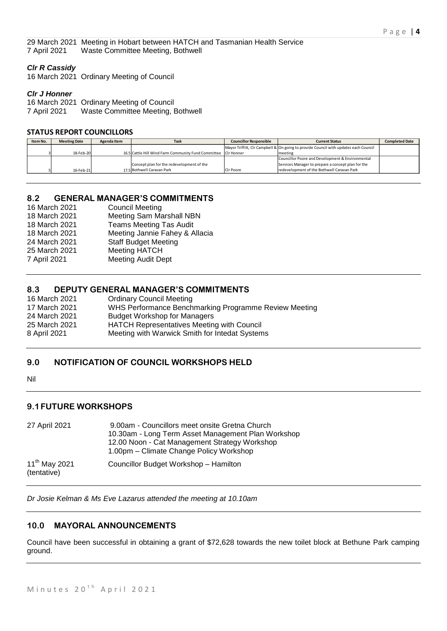29 March 2021 Meeting in Hobart between HATCH and Tasmanian Health Service 7 April 2021 Waste Committee Meeting, Bothwell

#### *Clr R Cassidy*

16 March 2021 Ordinary Meeting of Council

#### *Clr J Honner*

16 March 2021 Ordinary Meeting of Council 7 April 2021 Waste Committee Meeting, Bothwell

#### **STATUS REPORT COUNCILLORS**

| Item No. | <b>Meeting Date</b> | Agenda Item | Task                                                           | <b>Councillor Responsible</b> | <b>Current Status</b>                                                                | <b>Completed Date</b> |
|----------|---------------------|-------------|----------------------------------------------------------------|-------------------------------|--------------------------------------------------------------------------------------|-----------------------|
|          |                     |             |                                                                |                               | Mayor Triffitt, CIr Campbell & On going to provide Council with updates each Council |                       |
|          | 18-Feb-20           |             | 16.5 Cattle Hill Wind Farm Community Fund Committee CIr Honner |                               | meeting                                                                              |                       |
|          |                     |             |                                                                |                               | Councillor Poore and Development & Environmental                                     |                       |
|          |                     |             | Concept plan for the redevelopment of the                      |                               | Services Manager to prepare a concept plan for the                                   |                       |
|          | 16-Feb-21           |             | 17.5 Bothwell Caravan Park                                     | Cir Poore                     | redevelopment of the Bothwell Caravan Park                                           |                       |

# **8.2 GENERAL MANAGER'S COMMITMENTS**

| <b>Council Meeting</b>          |
|---------------------------------|
| <b>Meeting Sam Marshall NBN</b> |
| <b>Teams Meeting Tas Audit</b>  |
| Meeting Jannie Fahey & Allacia  |
| <b>Staff Budget Meeting</b>     |
| <b>Meeting HATCH</b>            |
| <b>Meeting Audit Dept</b>       |
|                                 |

# **8.3 DEPUTY GENERAL MANAGER'S COMMITMENTS**

| 16 March 2021 | <b>Ordinary Council Meeting</b>                       |
|---------------|-------------------------------------------------------|
| 17 March 2021 | WHS Performance Benchmarking Programme Review Meeting |
| 24 March 2021 | <b>Budget Workshop for Managers</b>                   |
| 25 March 2021 | <b>HATCH Representatives Meeting with Council</b>     |
| 8 April 2021  | Meeting with Warwick Smith for Intedat Systems        |
|               |                                                       |

# **9.0 NOTIFICATION OF COUNCIL WORKSHOPS HELD**

Nil

# **9.1FUTURE WORKSHOPS**

| 27 April 2021                     | 9.00am - Councillors meet onsite Gretna Church<br>10.30am - Long Term Asset Management Plan Workshop |  |  |
|-----------------------------------|------------------------------------------------------------------------------------------------------|--|--|
|                                   | 12.00 Noon - Cat Management Strategy Workshop<br>1.00pm – Climate Change Policy Workshop             |  |  |
| $11^{th}$ May 2021<br>(tentative) | Councillor Budget Workshop - Hamilton                                                                |  |  |

*Dr Josie Kelman & Ms Eve Lazarus attended the meeting at 10.10am*

# **10.0 MAYORAL ANNOUNCEMENTS**

Council have been successful in obtaining a grant of \$72,628 towards the new toilet block at Bethune Park camping ground.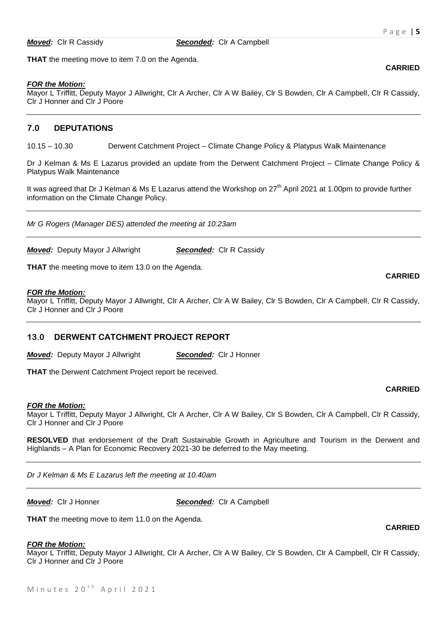*Moved:* Clr R Cassidy *Seconded:* Clr A Campbell

**THAT** the meeting move to item 7.0 on the Agenda.

#### *FOR the Motion:*

Mayor L Triffitt, Deputy Mayor J Allwright, Clr A Archer, Clr A W Bailey, Clr S Bowden, Clr A Campbell, Clr R Cassidy, Clr J Honner and Clr J Poore

#### **7.0 DEPUTATIONS**

10.15 – 10.30 Derwent Catchment Project – Climate Change Policy & Platypus Walk Maintenance

Dr J Kelman & Ms E Lazarus provided an update from the Derwent Catchment Project – Climate Change Policy & Platypus Walk Maintenance

It was agreed that Dr J Kelman & Ms E Lazarus attend the Workshop on  $27<sup>th</sup>$  April 2021 at 1.00pm to provide further information on the Climate Change Policy.

*Mr G Rogers (Manager DES) attended the meeting at 10.23am*

*Moved:* Deputy Mayor J Allwright *Seconded:* Clr R Cassidy

**THAT** the meeting move to item 13.0 on the Agenda.

#### *FOR the Motion:*

Mayor L Triffitt, Deputy Mayor J Allwright, Clr A Archer, Clr A W Bailey, Clr S Bowden, Clr A Campbell, Clr R Cassidy, Clr J Honner and Clr J Poore

#### **13.0 DERWENT CATCHMENT PROJECT REPORT**

*Moved:* Deputy Mayor J Allwright *Seconded:* Clr J Honner

**THAT** the Derwent Catchment Project report be received.

# **CARRIED**

**CARRIED**

#### *FOR the Motion:*

Mayor L Triffitt, Deputy Mayor J Allwright, Clr A Archer, Clr A W Bailey, Clr S Bowden, Clr A Campbell, Clr R Cassidy, Clr J Honner and Clr J Poore

**RESOLVED** that endorsement of the Draft Sustainable Growth in Agriculture and Tourism in the Derwent and Highlands – A Plan for Economic Recovery 2021-30 be deferred to the May meeting.

*Dr J Kelman & Ms E Lazarus left the meeting at 10.40am*

*Moved:* Clr J Honner *Seconded:* Clr A Campbell

**THAT** the meeting move to item 11.0 on the Agenda.

#### *FOR the Motion:*

Mayor L Triffitt, Deputy Mayor J Allwright, Clr A Archer, Clr A W Bailey, Clr S Bowden, Clr A Campbell, Clr R Cassidy, Clr J Honner and Clr J Poore

**CARRIED**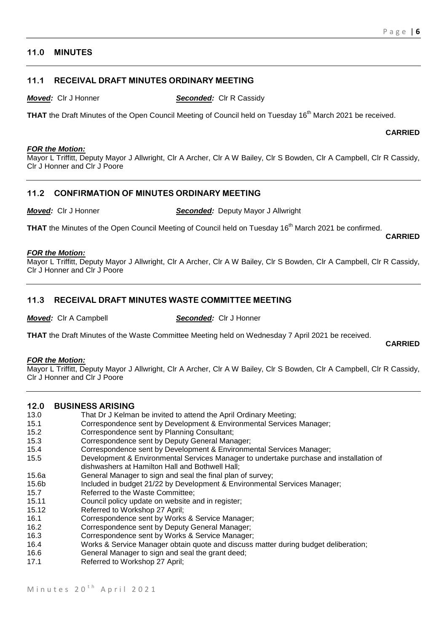# **11.0 MINUTES**

## **11.1 RECEIVAL DRAFT MINUTES ORDINARY MEETING**

*Moved:* Clr J Honner *Seconded:* Clr R Cassidy

**THAT** the Draft Minutes of the Open Council Meeting of Council held on Tuesday 16<sup>th</sup> March 2021 be received.

#### **CARRIED**

**CARRIED**

#### *FOR the Motion:*

Mayor L Triffitt, Deputy Mayor J Allwright, Clr A Archer, Clr A W Bailey, Clr S Bowden, Clr A Campbell, Clr R Cassidy, Clr J Honner and Clr J Poore

# **11.2 CONFIRMATION OF MINUTES ORDINARY MEETING**

*Moved:* Clr J Honner *Seconded:* Deputy Mayor J Allwright

**THAT** the Minutes of the Open Council Meeting of Council held on Tuesday 16<sup>th</sup> March 2021 be confirmed.

#### *FOR the Motion:*

Mayor L Triffitt, Deputy Mayor J Allwright, Clr A Archer, Clr A W Bailey, Clr S Bowden, Clr A Campbell, Clr R Cassidy, Clr J Honner and Clr J Poore

# **11.3 RECEIVAL DRAFT MINUTES WASTE COMMITTEE MEETING**

*Moved:* Clr A Campbell *Seconded:* Clr J Honner

**THAT** the Draft Minutes of the Waste Committee Meeting held on Wednesday 7 April 2021 be received.

**CARRIED**

#### *FOR the Motion:*

Mayor L Triffitt, Deputy Mayor J Allwright, Clr A Archer, Clr A W Bailey, Clr S Bowden, Clr A Campbell, Clr R Cassidy, Clr J Honner and Clr J Poore

### **12.0 BUSINESS ARISING**

- 13.0 That Dr J Kelman be invited to attend the April Ordinary Meeting;
- 15.1 Correspondence sent by Development & Environmental Services Manager;
- 15.2 Correspondence sent by Planning Consultant;
- 15.3 Correspondence sent by Deputy General Manager;
- 15.4 Correspondence sent by Development & Environmental Services Manager;
- 15.5 Development & Environmental Services Manager to undertake purchase and installation of
- dishwashers at Hamilton Hall and Bothwell Hall;
- 15.6a General Manager to sign and seal the final plan of survey;
- 15.6b Included in budget 21/22 by Development & Environmental Services Manager;
- 15.7 Referred to the Waste Committee;
- 15.11 Council policy update on website and in register;
- 15.12 Referred to Workshop 27 April;
- 16.1 Correspondence sent by Works & Service Manager;
- 16.2 Correspondence sent by Deputy General Manager;
- 16.3 Correspondence sent by Works & Service Manager;
- 16.4 Works & Service Manager obtain quote and discuss matter during budget deliberation;
- 16.6 General Manager to sign and seal the grant deed;
- 17.1 Referred to Workshop 27 April;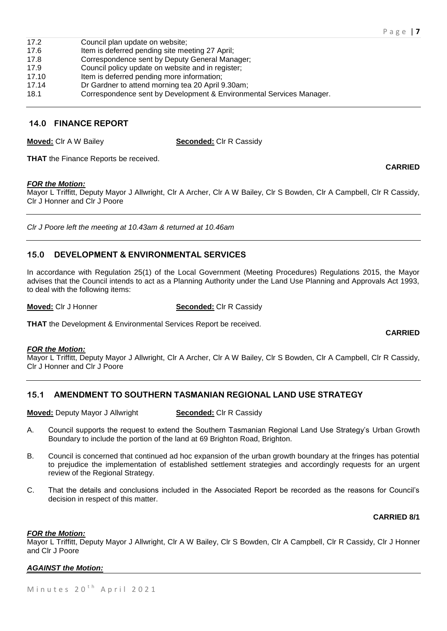| 17.2  | Council plan update on website;                                      |
|-------|----------------------------------------------------------------------|
| 17.6  | Item is deferred pending site meeting 27 April;                      |
| 17.8  | Correspondence sent by Deputy General Manager;                       |
| 17.9  | Council policy update on website and in register;                    |
| 17.10 | Item is deferred pending more information;                           |
| 17.14 | Dr Gardner to attend morning tea 20 April 9.30am;                    |
| 18.1  | Correspondence sent by Development & Environmental Services Manager. |

## **14.0 FINANCE REPORT**

**Moved:** Clr A W Bailey **Seconded:** Clr R Cassidy

**THAT** the Finance Reports be received.

#### *FOR the Motion:*

Mayor L Triffitt, Deputy Mayor J Allwright, Clr A Archer, Clr A W Bailey, Clr S Bowden, Clr A Campbell, Clr R Cassidy, Clr J Honner and Clr J Poore

*Clr J Poore left the meeting at 10.43am & returned at 10.46am*

# **15.0 DEVELOPMENT & ENVIRONMENTAL SERVICES**

In accordance with Regulation 25(1) of the Local Government (Meeting Procedures) Regulations 2015, the Mayor advises that the Council intends to act as a Planning Authority under the Land Use Planning and Approvals Act 1993, to deal with the following items:

**Moved:** Clr J Honner **Seconded:** Clr R Cassidy

**THAT** the Development & Environmental Services Report be received.

# *FOR the Motion:*

Mayor L Triffitt, Deputy Mayor J Allwright, Clr A Archer, Clr A W Bailey, Clr S Bowden, Clr A Campbell, Clr R Cassidy, Clr J Honner and Clr J Poore

# **15.1 AMENDMENT TO SOUTHERN TASMANIAN REGIONAL LAND USE STRATEGY**

**Moved:** Deputy Mayor J Allwright **Seconded:** Clr R Cassidy

- A. Council supports the request to extend the Southern Tasmanian Regional Land Use Strategy's Urban Growth Boundary to include the portion of the land at 69 Brighton Road, Brighton.
- B. Council is concerned that continued ad hoc expansion of the urban growth boundary at the fringes has potential to prejudice the implementation of established settlement strategies and accordingly requests for an urgent review of the Regional Strategy.
- C. That the details and conclusions included in the Associated Report be recorded as the reasons for Council's decision in respect of this matter.

### **CARRIED 8/1**

### *FOR the Motion:*

Mayor L Triffitt, Deputy Mayor J Allwright, Clr A W Bailey, Clr S Bowden, Clr A Campbell, Clr R Cassidy, Clr J Honner and Clr J Poore

### *AGAINST the Motion:*

Minutes  $20<sup>th</sup>$  April 2021

**CARRIED**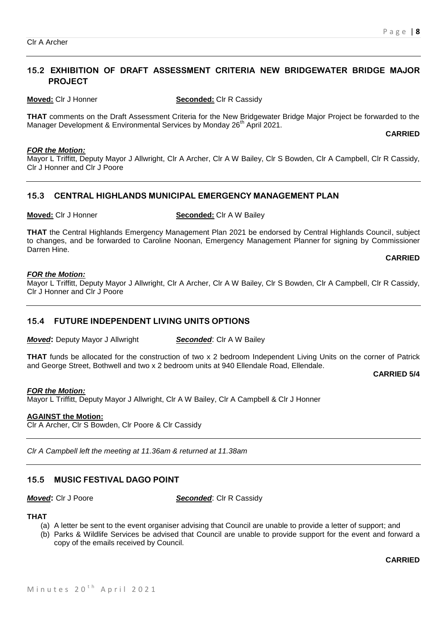# **15.2 EXHIBITION OF DRAFT ASSESSMENT CRITERIA NEW BRIDGEWATER BRIDGE MAJOR PROJECT**

**Moved:** Clr J Honner **Seconded:** Clr R Cassidy

**THAT** comments on the Draft Assessment Criteria for the New Bridgewater Bridge Major Project be forwarded to the Manager Development & Environmental Services by Monday 26<sup>th</sup> April 2021.

**CARRIED**

#### *FOR the Motion:*

Mayor L Triffitt, Deputy Mayor J Allwright, Clr A Archer, Clr A W Bailey, Clr S Bowden, Clr A Campbell, Clr R Cassidy, Clr J Honner and Clr J Poore

# **15.3 CENTRAL HIGHLANDS MUNICIPAL EMERGENCY MANAGEMENT PLAN**

**Moved:** Clr J Honner **Seconded:** Clr A W Bailey

**THAT** the Central Highlands Emergency Management Plan 2021 be endorsed by Central Highlands Council, subject to changes, and be forwarded to Caroline Noonan, Emergency Management Planner for signing by Commissioner Darren Hine.

#### **CARRIED**

#### *FOR the Motion:*

Mayor L Triffitt, Deputy Mayor J Allwright, Clr A Archer, Clr A W Bailey, Clr S Bowden, Clr A Campbell, Clr R Cassidy, Clr J Honner and Clr J Poore

# **15.4 FUTURE INDEPENDENT LIVING UNITS OPTIONS**

*Moved:* Deputy Mayor J Allwright **Seconded:** Clr A W Bailey

**THAT** funds be allocated for the construction of two x 2 bedroom Independent Living Units on the corner of Patrick and George Street, Bothwell and two x 2 bedroom units at 940 Ellendale Road, Ellendale.

#### **CARRIED 5/4**

*FOR the Motion:* Mayor L Triffitt, Deputy Mayor J Allwright, Clr A W Bailey, Clr A Campbell & Clr J Honner

# **AGAINST the Motion:**

Clr A Archer, Clr S Bowden, Clr Poore & Clr Cassidy

*Clr A Campbell left the meeting at 11.36am & returned at 11.38am*

# **15.5 MUSIC FESTIVAL DAGO POINT**

*Moved***:** Clr J Poore *Seconded*: Clr R Cassidy

### **THAT**

- (a) A letter be sent to the event organiser advising that Council are unable to provide a letter of support; and
- (b) Parks & Wildlife Services be advised that Council are unable to provide support for the event and forward a copy of the emails received by Council.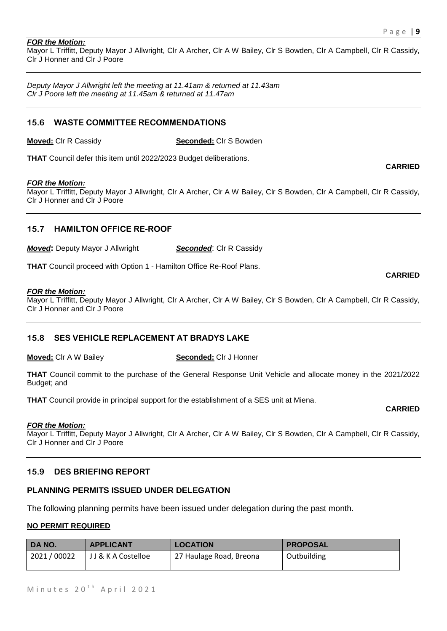#### *FOR the Motion:*

Mayor L Triffitt, Deputy Mayor J Allwright, Clr A Archer, Clr A W Bailey, Clr S Bowden, Clr A Campbell, Clr R Cassidy, Clr J Honner and Clr J Poore

*Deputy Mayor J Allwright left the meeting at 11.41am & returned at 11.43am Clr J Poore left the meeting at 11.45am & returned at 11.47am*

#### **15.6 WASTE COMMITTEE RECOMMENDATIONS**

**Moved:** Clr R Cassidy **Seconded:** Clr S Bowden

**THAT** Council defer this item until 2022/2023 Budget deliberations.

#### *FOR the Motion:*

Mayor L Triffitt, Deputy Mayor J Allwright, Clr A Archer, Clr A W Bailey, Clr S Bowden, Clr A Campbell, Clr R Cassidy, Clr J Honner and Clr J Poore

# **15.7 HAMILTON OFFICE RE-ROOF**

*Moved:* Deputy Mayor J Allwright **Seconded:** Clr R Cassidy

**THAT** Council proceed with Option 1 - Hamilton Office Re-Roof Plans.

#### *FOR the Motion:*

Mayor L Triffitt, Deputy Mayor J Allwright, Clr A Archer, Clr A W Bailey, Clr S Bowden, Clr A Campbell, Clr R Cassidy, Clr J Honner and Clr J Poore

### **15.8 SES VEHICLE REPLACEMENT AT BRADYS LAKE**

**Moved:** Clr A W Bailey **Seconded:** Clr J Honner

**THAT** Council commit to the purchase of the General Response Unit Vehicle and allocate money in the 2021/2022 Budget; and

**THAT** Council provide in principal support for the establishment of a SES unit at Miena.

#### *FOR the Motion:*

Mayor L Triffitt, Deputy Mayor J Allwright, Clr A Archer, Clr A W Bailey, Clr S Bowden, Clr A Campbell, Clr R Cassidy, Clr J Honner and Clr J Poore

## **15.9 DES BRIEFING REPORT**

### **PLANNING PERMITS ISSUED UNDER DELEGATION**

The following planning permits have been issued under delegation during the past month.

#### **NO PERMIT REQUIRED**

| DA NO.       | <b>APPLICANT</b>    | <b>LOCATION</b>         | ' PROPOSAL  |
|--------------|---------------------|-------------------------|-------------|
| 2021 / 00022 | J J & K A Costelloe | 27 Haulage Road, Breona | Outbuilding |

**CARRIED**

**CARRIED**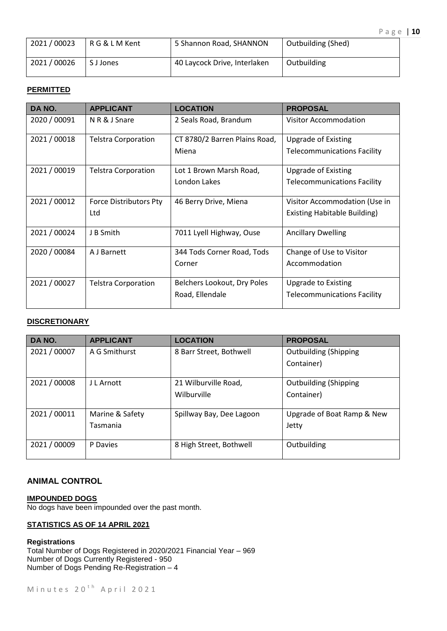| 2021/00023 | R G & L M Kent | 5 Shannon Road, SHANNON      | <b>Outbuilding (Shed)</b> |
|------------|----------------|------------------------------|---------------------------|
| 2021/00026 | S J Jones      | 40 Laycock Drive, Interlaken | Outbuilding               |

# **PERMITTED**

| DA NO.       | <b>APPLICANT</b>                     | <b>LOCATION</b>                                | <b>PROPOSAL</b>                                                      |
|--------------|--------------------------------------|------------------------------------------------|----------------------------------------------------------------------|
| 2020 / 00091 | N R & J Snare                        | 2 Seals Road, Brandum                          | <b>Visitor Accommodation</b>                                         |
| 2021/00018   | <b>Telstra Corporation</b>           | CT 8780/2 Barren Plains Road,<br>Miena         | <b>Upgrade of Existing</b><br><b>Telecommunications Facility</b>     |
| 2021 / 00019 | <b>Telstra Corporation</b>           | Lot 1 Brown Marsh Road,<br>London Lakes        | Upgrade of Existing<br><b>Telecommunications Facility</b>            |
| 2021/00012   | <b>Force Distributors Pty</b><br>Ltd | 46 Berry Drive, Miena                          | Visitor Accommodation (Use in<br><b>Existing Habitable Building)</b> |
| 2021/00024   | J B Smith                            | 7011 Lyell Highway, Ouse                       | <b>Ancillary Dwelling</b>                                            |
| 2020 / 00084 | A J Barnett                          | 344 Tods Corner Road, Tods<br>Corner           | Change of Use to Visitor<br>Accommodation                            |
| 2021/00027   | <b>Telstra Corporation</b>           | Belchers Lookout, Dry Poles<br>Road, Ellendale | <b>Upgrade to Existing</b><br><b>Telecommunications Facility</b>     |

# **DISCRETIONARY**

| DA NO.       | <b>APPLICANT</b> | <b>LOCATION</b>          | <b>PROPOSAL</b>              |
|--------------|------------------|--------------------------|------------------------------|
| 2021 / 00007 | A G Smithurst    | 8 Barr Street, Bothwell  | <b>Outbuilding (Shipping</b> |
|              |                  |                          | Container)                   |
|              |                  |                          |                              |
| 2021 / 00008 | J L Arnott       | 21 Wilburville Road,     | <b>Outbuilding (Shipping</b> |
|              |                  | Wilburville              | Container)                   |
|              |                  |                          |                              |
| 2021/00011   | Marine & Safety  | Spillway Bay, Dee Lagoon | Upgrade of Boat Ramp & New   |
|              | Tasmania         |                          | Jetty                        |
|              |                  |                          |                              |
| 2021 / 00009 | P Davies         | 8 High Street, Bothwell  | Outbuilding                  |
|              |                  |                          |                              |

# **ANIMAL CONTROL**

**IMPOUNDED DOGS** No dogs have been impounded over the past month.

# **STATISTICS AS OF 14 APRIL 2021**

**Registrations** Total Number of Dogs Registered in 2020/2021 Financial Year – 969 Number of Dogs Currently Registered - 950 Number of Dogs Pending Re-Registration – 4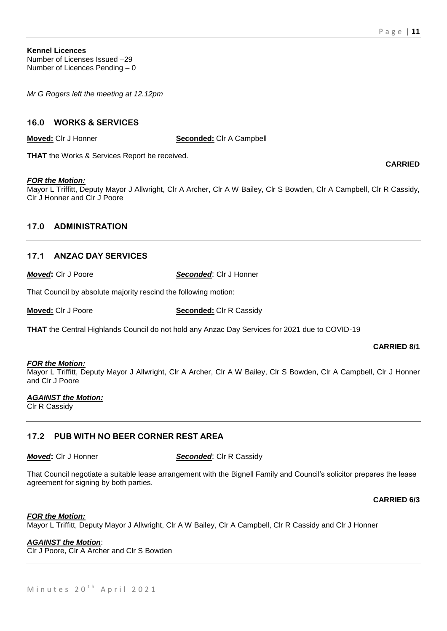*Mr G Rogers left the meeting at 12.12pm*

# **16.0 WORKS & SERVICES**

**Moved:** Clr J Honner **Seconded:** Clr A Campbell

**THAT** the Works & Services Report be received.

#### *FOR the Motion:*

Mayor L Triffitt, Deputy Mayor J Allwright, Clr A Archer, Clr A W Bailey, Clr S Bowden, Clr A Campbell, Clr R Cassidy, Clr J Honner and Clr J Poore

# **17.0 ADMINISTRATION**

# **17.1 ANZAC DAY SERVICES**

*Moved***:** Clr J Poore *Seconded*: Clr J Honner

That Council by absolute majority rescind the following motion:

**Moved:** Clr J Poore **Seconded:** Clr R Cassidy

**THAT** the Central Highlands Council do not hold any Anzac Day Services for 2021 due to COVID-19

#### **CARRIED 8/1**

#### *FOR the Motion:*

Mayor L Triffitt, Deputy Mayor J Allwright, Clr A Archer, Clr A W Bailey, Clr S Bowden, Clr A Campbell, Clr J Honner and Clr J Poore

#### *AGAINST the Motion:*

Clr R Cassidy

### **17.2 PUB WITH NO BEER CORNER REST AREA**

*Moved***: Cir J Honner <b>Seconded:** Cir R Cassidy

That Council negotiate a suitable lease arrangement with the Bignell Family and Council's solicitor prepares the lease agreement for signing by both parties.

**CARRIED 6/3**

#### *FOR the Motion:*

Mayor L Triffitt, Deputy Mayor J Allwright, Clr A W Bailey, Clr A Campbell, Clr R Cassidy and Clr J Honner

# *AGAINST the Motion*:

Clr J Poore, Clr A Archer and Clr S Bowden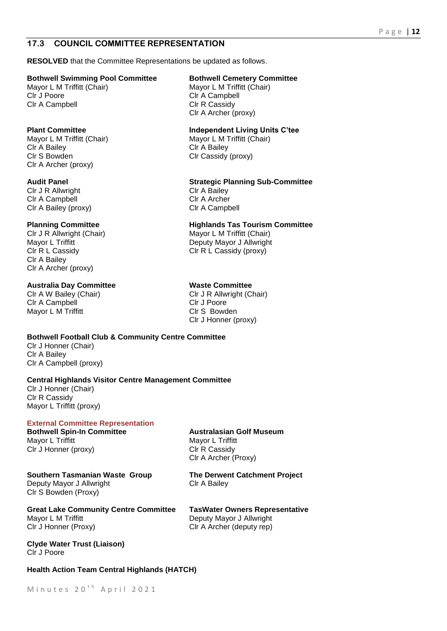# **17.3 COUNCIL COMMITTEE REPRESENTATION**

**RESOLVED** that the Committee Representations be updated as follows.

#### **Bothwell Swimming Pool Committee Bothwell Cemetery Committee**

Clr A Campbell Clr R Cassidy

Mayor L M Triffitt (Chair) Mayor L M Triffitt (Chair) Clr A Bailey Clr A Bailey Clr S Bowden Clr Cassidy (proxy) Clr A Archer (proxy)

Clr J R Allwright Clr J R Allwright Clr A Campbell Clr A Archer Clr A Bailey (proxy) Clr A Campbell

CIr J R Allwright (Chair) Mayor L M Triffitt (Chair) Clr R L Cassidy Clr R L Cassidy (proxy) Clr A Bailey Clr A Archer (proxy)

#### **Australia Day Committee Maste Committee**

Clr A Campbell Clr J Poore Mayor L M Triffitt **Clarge Clarge Clarge Clr S** Bowden

**Bothwell Football Club & Community Centre Committee**

Clr J Honner (Chair) Clr A Bailey Clr A Campbell (proxy)

#### **Central Highlands Visitor Centre Management Committee**

Clr J Honner (Chair) Clr R Cassidy Mayor L Triffitt (proxy)

### **External Committee Representation**

Mayor L Triffitt Mayor L Triffitt Clr J Honner (proxy) Clr R Cassidy

**Bothwell Spin-In Committee <b>Australasian Golf Museum** Clr A Archer (Proxy)

# **Southern Tasmanian Waste Group The Derwent Catchment Project**

Deputy Mayor J Allwright Clr A Bailey Clr S Bowden (Proxy)

**Great Lake Community Centre Committee TasWater Owners Representative** Mayor L M Triffitt **Deputy Mayor J Allwright** Clr J Honner (Proxy) Clr A Archer (deputy rep)

**Clyde Water Trust (Liaison)** Clr J Poore

#### **Health Action Team Central Highlands (HATCH)**

Mayor L M Triffitt (Chair) Mayor L M Triffitt (Chair)<br>Cir J Poore Cir A Campbell Clr A Campbell Clr A Archer (proxy)

### **Plant Committee Independent Living Units C'tee**

#### **Audit Panel Strategic Planning Sub-Committee**

#### **Planning Committee Highlands Tas Tourism Committee**

Mayor L Triffitt Mayor J Allwright

Clr A W Bailey (Chair) Clr J R Allwright (Chair) Clr J Honner (proxy)

P a g e | **12**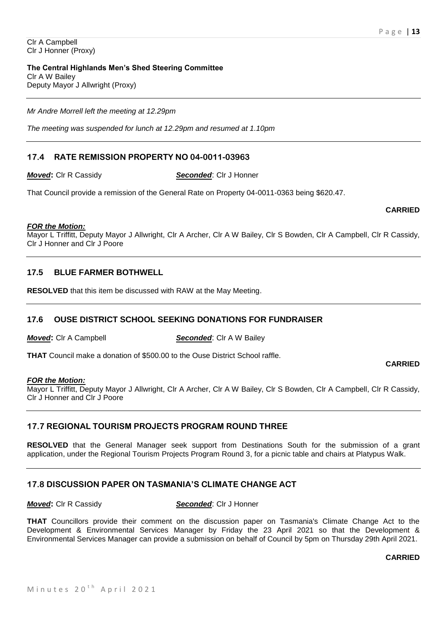**The Central Highlands Men's Shed Steering Committee** Clr A W Bailey Deputy Mayor J Allwright (Proxy)

*Mr Andre Morrell left the meeting at 12.29pm*

*The meeting was suspended for lunch at 12.29pm and resumed at 1.10pm*

# **17.4 RATE REMISSION PROPERTY NO 04-0011-03963**

*Moved***:** Clr R Cassidy *Seconded*: Clr J Honner

That Council provide a remission of the General Rate on Property 04-0011-0363 being \$620.47.

# **CARRIED**

**CARRIED**

*FOR the Motion:* Mayor L Triffitt, Deputy Mayor J Allwright, Clr A Archer, Clr A W Bailey, Clr S Bowden, Clr A Campbell, Clr R Cassidy, Clr J Honner and Clr J Poore

# **17.5 BLUE FARMER BOTHWELL**

**RESOLVED** that this item be discussed with RAW at the May Meeting.

## **17.6 OUSE DISTRICT SCHOOL SEEKING DONATIONS FOR FUNDRAISER**

*Moved***:** Clr A Campbell *Seconded***:** Clr A W Bailey

**THAT** Council make a donation of \$500.00 to the Ouse District School raffle.

#### *FOR the Motion:*

Mayor L Triffitt, Deputy Mayor J Allwright, Clr A Archer, Clr A W Bailey, Clr S Bowden, Clr A Campbell, Clr R Cassidy, Clr J Honner and Clr J Poore

# **17.7 REGIONAL TOURISM PROJECTS PROGRAM ROUND THREE**

**RESOLVED** that the General Manager seek support from Destinations South for the submission of a grant application, under the Regional Tourism Projects Program Round 3, for a picnic table and chairs at Platypus Walk.

# **17.8 DISCUSSION PAPER ON TASMANIA'S CLIMATE CHANGE ACT**

**THAT** Councillors provide their comment on the discussion paper on Tasmania's Climate Change Act to the Development & Environmental Services Manager by Friday the 23 April 2021 so that the Development & Environmental Services Manager can provide a submission on behalf of Council by 5pm on Thursday 29th April 2021.

### **CARRIED**

*Moved***:** Clr R Cassidy *Seconded*: Clr J Honner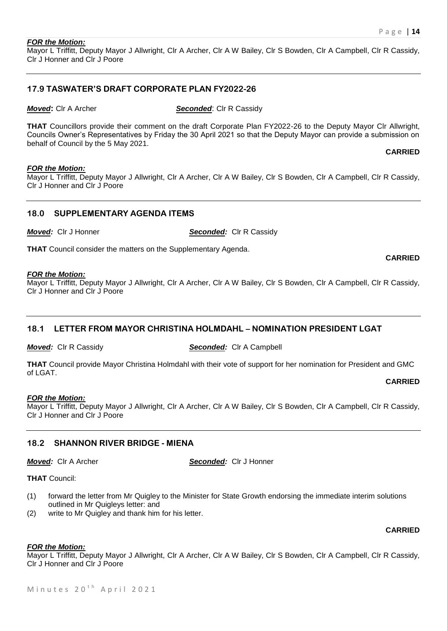#### *FOR the Motion:*

Mayor L Triffitt, Deputy Mayor J Allwright, Clr A Archer, Clr A W Bailey, Clr S Bowden, Clr A Campbell, Clr R Cassidy, Clr J Honner and Clr J Poore

### **17.9 TASWATER'S DRAFT CORPORATE PLAN FY2022-26**

*Moved***:** Cir A Archer **Seconded:** Cir R Cassidy

**THAT** Councillors provide their comment on the draft Corporate Plan FY2022-26 to the Deputy Mayor Clr Allwright, Councils Owner's Representatives by Friday the 30 April 2021 so that the Deputy Mayor can provide a submission on behalf of Council by the 5 May 2021.

**CARRIED**

**CARRIED**

#### *FOR the Motion:*

Mayor L Triffitt, Deputy Mayor J Allwright, Clr A Archer, Clr A W Bailey, Clr S Bowden, Clr A Campbell, Clr R Cassidy, Clr J Honner and Clr J Poore

#### **18.0 SUPPLEMENTARY AGENDA ITEMS**

*Moved:* Clr J Honner *Seconded:* Clr R Cassidy

**THAT** Council consider the matters on the Supplementary Agenda.

#### *FOR the Motion:*

Mayor L Triffitt, Deputy Mayor J Allwright, Clr A Archer, Clr A W Bailey, Clr S Bowden, Clr A Campbell, Clr R Cassidy, Clr J Honner and Clr J Poore

### **18.1 LETTER FROM MAYOR CHRISTINA HOLMDAHL – NOMINATION PRESIDENT LGAT**

*Moved:* Clr R Cassidy *Seconded:* Clr A Campbell

**THAT** Council provide Mayor Christina Holmdahl with their vote of support for her nomination for President and GMC of LGAT.

#### **CARRIED**

#### *FOR the Motion:*

Mayor L Triffitt, Deputy Mayor J Allwright, Clr A Archer, Clr A W Bailey, Clr S Bowden, Clr A Campbell, Clr R Cassidy, Clr J Honner and Clr J Poore

### **18.2 SHANNON RIVER BRIDGE - MIENA**

*Moved:* Clr A Archer *Seconded:* Clr J Honner

**THAT** Council:

- (1) forward the letter from Mr Quigley to the Minister for State Growth endorsing the immediate interim solutions outlined in Mr Quigleys letter: and
- (2) write to Mr Quigley and thank him for his letter.

### **CARRIED**

### *FOR the Motion:*

Mayor L Triffitt, Deputy Mayor J Allwright, Clr A Archer, Clr A W Bailey, Clr S Bowden, Clr A Campbell, Clr R Cassidy, Clr J Honner and Clr J Poore